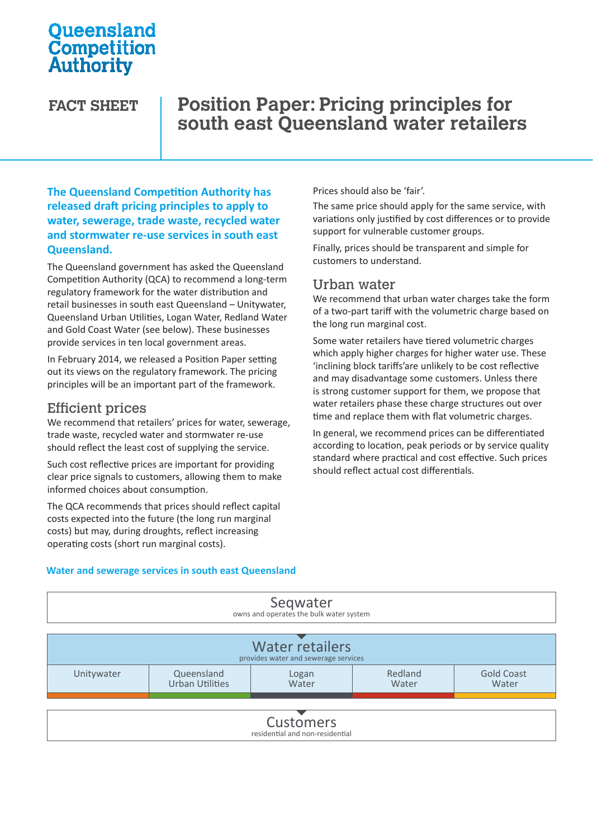# **Oueensland** Competition Authority

# **FACT SHEET Position Paper: Pricing principles for south east Queensland water retailers**

**The Queensland Competition Authority has released draft pricing principles to apply to water, sewerage, trade waste, recycled water and stormwater re-use services in south east Queensland.** 

The Queensland government has asked the Queensland Competition Authority (QCA) to recommend a long-term regulatory framework for the water distribution and retail businesses in south east Queensland – Unitywater, Queensland Urban Utilities, Logan Water, Redland Water and Gold Coast Water (see below). These businesses provide services in ten local government areas.

In February 2014, we released a Position Paper setting out its views on the regulatory framework. The pricing principles will be an important part of the framework.

## Efficient prices

We recommend that retailers' prices for water, sewerage, trade waste, recycled water and stormwater re-use should reflect the least cost of supplying the service.

Such cost reflective prices are important for providing clear price signals to customers, allowing them to make informed choices about consumption.

The QCA recommends that prices should reflect capital costs expected into the future (the long run marginal costs) but may, during droughts, reflect increasing operating costs (short run marginal costs).

Prices should also be 'fair'.

The same price should apply for the same service, with variations only justified by cost differences or to provide support for vulnerable customer groups.

Finally, prices should be transparent and simple for customers to understand.

### Urban water

We recommend that urban water charges take the form of a two-part tariff with the volumetric charge based on the long run marginal cost.

Some water retailers have tiered volumetric charges which apply higher charges for higher water use. These 'inclining block tariffs'are unlikely to be cost reflective and may disadvantage some customers. Unless there is strong customer support for them, we propose that water retailers phase these charge structures out over time and replace them with flat volumetric charges.

In general, we recommend prices can be differentiated according to location, peak periods or by service quality standard where practical and cost effective. Such prices should reflect actual cost differentials.

#### **Water and sewerage services in south east Queensland**